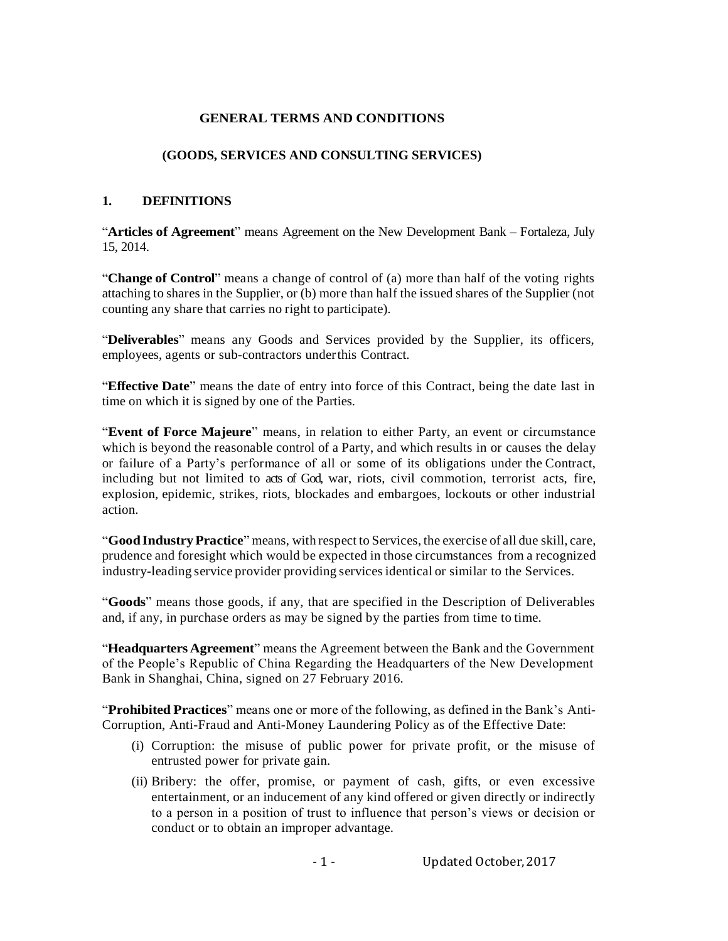## **GENERAL TERMS AND CONDITIONS**

#### **(GOODS, SERVICES AND CONSULTING SERVICES)**

#### **1. DEFINITIONS**

"**Articles of Agreement**" means Agreement on the New Development Bank – Fortaleza, July 15, 2014.

"**Change of Control**" means a change of control of (a) more than half of the voting rights attaching to shares in the Supplier, or (b) more than half the issued shares of the Supplier (not counting any share that carries no right to participate).

"**Deliverables**" means any Goods and Services provided by the Supplier, its officers, employees, agents or sub-contractors underthis Contract.

"**Effective Date**" means the date of entry into force of this Contract, being the date last in time on which it is signed by one of the Parties.

"**Event of Force Majeure**" means, in relation to either Party, an event or circumstance which is beyond the reasonable control of a Party, and which results in or causes the delay or failure of a Party's performance of all or some of its obligations under the Contract, including but not limited to acts of God, war, riots, civil commotion, terrorist acts, fire, explosion, epidemic, strikes, riots, blockades and embargoes, lockouts or other industrial action.

"**GoodIndustryPractice**" means, with respect to Services, the exercise of all due skill, care, prudence and foresight which would be expected in those circumstances from a recognized industry-leading service provider providing services identical or similar to the Services.

"**Goods**" means those goods, if any, that are specified in the Description of Deliverables and, if any, in purchase orders as may be signed by the parties from time to time.

"**Headquarters Agreement**" means the Agreement between the Bank and the Government of the People's Republic of China Regarding the Headquarters of the New Development Bank in Shanghai, China, signed on 27 February 2016.

"**Prohibited Practices**" means one or more of the following, as defined in the Bank's Anti-Corruption, Anti-Fraud and Anti-Money Laundering Policy as of the Effective Date:

- (i) Corruption: the misuse of public power for private profit, or the misuse of entrusted power for private gain.
- (ii) Bribery: the offer, promise, or payment of cash, gifts, or even excessive entertainment, or an inducement of any kind offered or given directly or indirectly to a person in a position of trust to influence that person's views or decision or conduct or to obtain an improper advantage.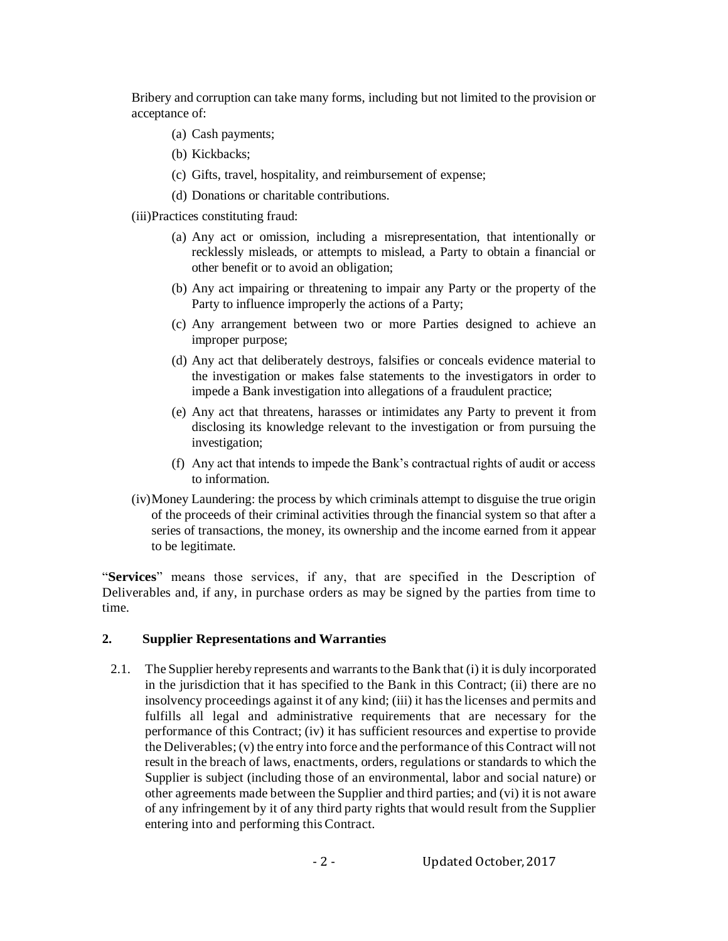Bribery and corruption can take many forms, including but not limited to the provision or acceptance of:

- (a) Cash payments;
- (b) Kickbacks;
- (c) Gifts, travel, hospitality, and reimbursement of expense;
- (d) Donations or charitable contributions.
- (iii)Practices constituting fraud:
	- (a) Any act or omission, including a misrepresentation, that intentionally or recklessly misleads, or attempts to mislead, a Party to obtain a financial or other benefit or to avoid an obligation;
	- (b) Any act impairing or threatening to impair any Party or the property of the Party to influence improperly the actions of a Party;
	- (c) Any arrangement between two or more Parties designed to achieve an improper purpose;
	- (d) Any act that deliberately destroys, falsifies or conceals evidence material to the investigation or makes false statements to the investigators in order to impede a Bank investigation into allegations of a fraudulent practice;
	- (e) Any act that threatens, harasses or intimidates any Party to prevent it from disclosing its knowledge relevant to the investigation or from pursuing the investigation;
	- (f) Any act that intends to impede the Bank's contractual rights of audit or access to information.
- (iv)Money Laundering: the process by which criminals attempt to disguise the true origin of the proceeds of their criminal activities through the financial system so that after a series of transactions, the money, its ownership and the income earned from it appear to be legitimate.

"**Services**" means those services, if any, that are specified in the Description of Deliverables and, if any, in purchase orders as may be signed by the parties from time to time.

## **2. Supplier Representations and Warranties**

2.1. The Supplier hereby represents and warrants to the Bank that (i) it is duly incorporated in the jurisdiction that it has specified to the Bank in this Contract; (ii) there are no insolvency proceedings against it of any kind; (iii) it hasthe licenses and permits and fulfills all legal and administrative requirements that are necessary for the performance of this Contract; (iv) it has sufficient resources and expertise to provide the Deliverables; (v) the entry into force and the performance of this Contract will not result in the breach of laws, enactments, orders, regulations or standards to which the Supplier is subject (including those of an environmental, labor and social nature) or other agreements made between the Supplier and third parties; and (vi) it is not aware of any infringement by it of any third party rights that would result from the Supplier entering into and performing this Contract.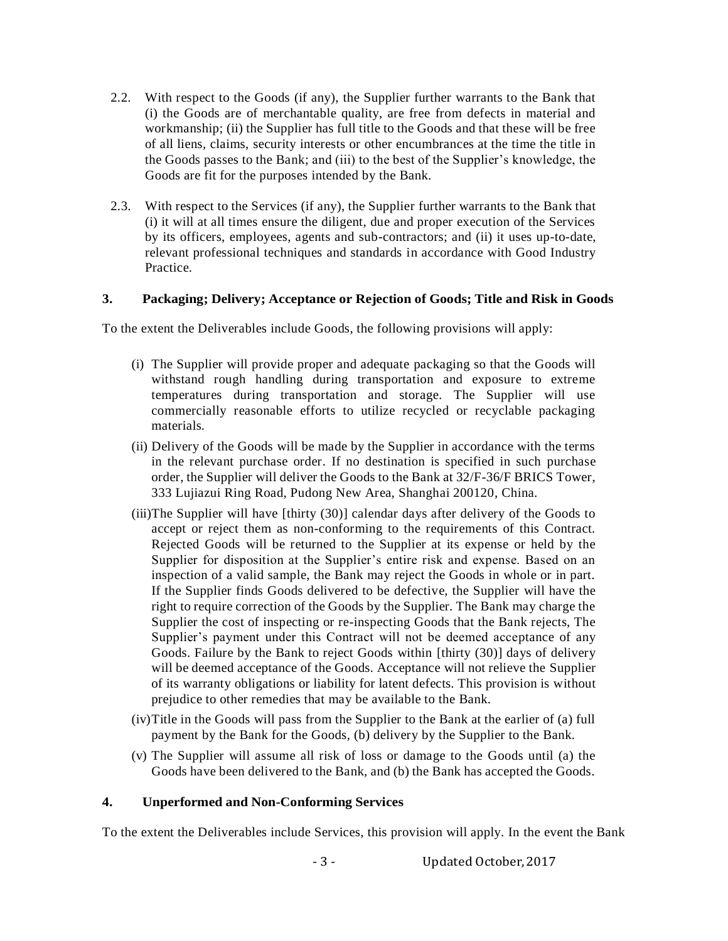- 2.2. With respect to the Goods (if any), the Supplier further warrants to the Bank that (i) the Goods are of merchantable quality, are free from defects in material and workmanship; (ii) the Supplier has full title to the Goods and that these will be free of all liens, claims, security interests or other encumbrances at the time the title in the Goods passes to the Bank; and (iii) to the best of the Supplier's knowledge, the Goods are fit for the purposes intended by the Bank.
- 2.3. With respect to the Services (if any), the Supplier further warrants to the Bank that (i) it will at all times ensure the diligent, due and proper execution of the Services by its officers, employees, agents and sub-contractors; and (ii) it uses up-to-date, relevant professional techniques and standards in accordance with Good Industry Practice.

## **3. Packaging; Delivery; Acceptance or Rejection of Goods; Title and Risk in Goods**

To the extent the Deliverables include Goods, the following provisions will apply:

- (i) The Supplier will provide proper and adequate packaging so that the Goods will withstand rough handling during transportation and exposure to extreme temperatures during transportation and storage. The Supplier will use commercially reasonable efforts to utilize recycled or recyclable packaging materials.
- (ii) Delivery of the Goods will be made by the Supplier in accordance with the terms in the relevant purchase order. If no destination is specified in such purchase order, the Supplier will deliver the Goods to the Bank at 32/F-36/F BRICS Tower, 333 Lujiazui Ring Road, Pudong New Area, Shanghai 200120, China.
- (iii)The Supplier will have [thirty (30)] calendar days after delivery of the Goods to accept or reject them as non-conforming to the requirements of this Contract. Rejected Goods will be returned to the Supplier at its expense or held by the Supplier for disposition at the Supplier's entire risk and expense. Based on an inspection of a valid sample, the Bank may reject the Goods in whole or in part. If the Supplier finds Goods delivered to be defective, the Supplier will have the right to require correction of the Goods by the Supplier. The Bank may charge the Supplier the cost of inspecting or re-inspecting Goods that the Bank rejects, The Supplier's payment under this Contract will not be deemed acceptance of any Goods. Failure by the Bank to reject Goods within [thirty (30)] days of delivery will be deemed acceptance of the Goods. Acceptance will not relieve the Supplier of its warranty obligations or liability for latent defects. This provision is without prejudice to other remedies that may be available to the Bank.
- (iv)Title in the Goods will pass from the Supplier to the Bank at the earlier of (a) full payment by the Bank for the Goods, (b) delivery by the Supplier to the Bank.
- (v) The Supplier will assume all risk of loss or damage to the Goods until (a) the Goods have been delivered to the Bank, and (b) the Bank has accepted the Goods.

## **4. Unperformed and Non-Conforming Services**

To the extent the Deliverables include Services, this provision will apply. In the event the Bank

‐ 3 ‐ Updated October,2017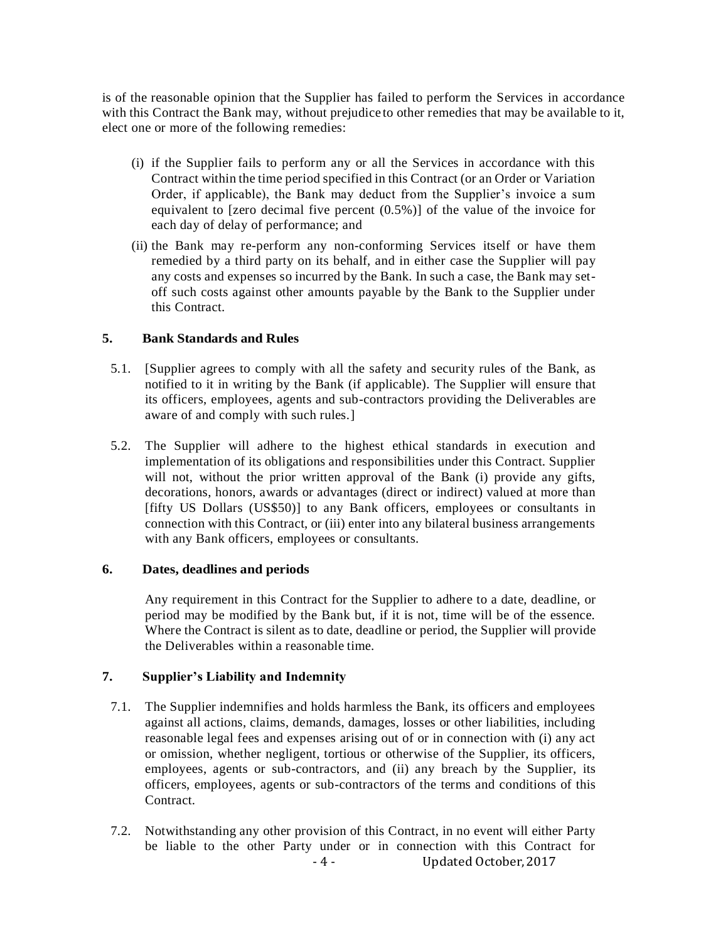is of the reasonable opinion that the Supplier has failed to perform the Services in accordance with this Contract the Bank may, without prejudice to other remedies that may be available to it, elect one or more of the following remedies:

- (i) if the Supplier fails to perform any or all the Services in accordance with this Contract within the time period specified in this Contract (or an Order or Variation Order, if applicable), the Bank may deduct from the Supplier's invoice a sum equivalent to [zero decimal five percent (0.5%)] of the value of the invoice for each day of delay of performance; and
- (ii) the Bank may re-perform any non-conforming Services itself or have them remedied by a third party on its behalf, and in either case the Supplier will pay any costs and expenses so incurred by the Bank. In such a case, the Bank may setoff such costs against other amounts payable by the Bank to the Supplier under this Contract.

## **5. Bank Standards and Rules**

- 5.1. [Supplier agrees to comply with all the safety and security rules of the Bank, as notified to it in writing by the Bank (if applicable). The Supplier will ensure that its officers, employees, agents and sub-contractors providing the Deliverables are aware of and comply with such rules.]
- 5.2. The Supplier will adhere to the highest ethical standards in execution and implementation of its obligations and responsibilities under this Contract. Supplier will not, without the prior written approval of the Bank (i) provide any gifts, decorations, honors, awards or advantages (direct or indirect) valued at more than [fifty US Dollars (US\$50)] to any Bank officers, employees or consultants in connection with this Contract, or (iii) enter into any bilateral business arrangements with any Bank officers, employees or consultants.

## **6. Dates, deadlines and periods**

Any requirement in this Contract for the Supplier to adhere to a date, deadline, or period may be modified by the Bank but, if it is not, time will be of the essence. Where the Contract is silent as to date, deadline or period, the Supplier will provide the Deliverables within a reasonable time.

# **7. Supplier's Liability and Indemnity**

- 7.1. The Supplier indemnifies and holds harmless the Bank, its officers and employees against all actions, claims, demands, damages, losses or other liabilities, including reasonable legal fees and expenses arising out of or in connection with (i) any act or omission, whether negligent, tortious or otherwise of the Supplier, its officers, employees, agents or sub-contractors, and (ii) any breach by the Supplier, its officers, employees, agents or sub-contractors of the terms and conditions of this Contract.
- ‐ 4 ‐ Updated October,2017 7.2. Notwithstanding any other provision of this Contract, in no event will either Party be liable to the other Party under or in connection with this Contract for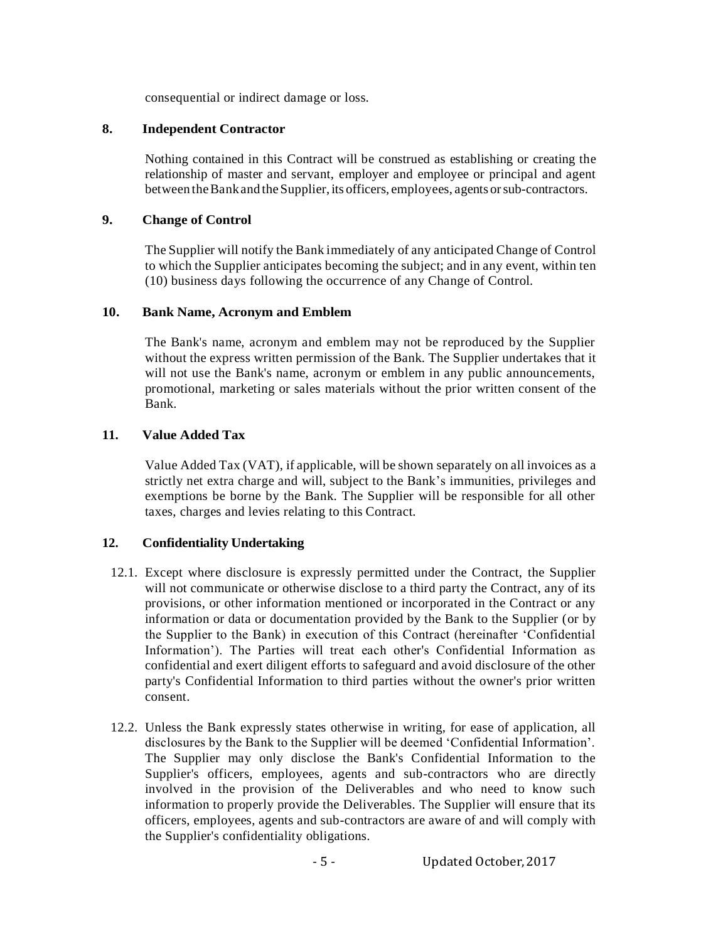consequential or indirect damage or loss.

#### **8. Independent Contractor**

Nothing contained in this Contract will be construed as establishing or creating the relationship of master and servant, employer and employee or principal and agent between the Bank and the Supplier, its officers, employees, agents or sub-contractors.

#### **9. Change of Control**

The Supplier will notify the Bank immediately of any anticipated Change of Control to which the Supplier anticipates becoming the subject; and in any event, within ten (10) business days following the occurrence of any Change of Control.

#### **10. Bank Name, Acronym and Emblem**

The Bank's name, acronym and emblem may not be reproduced by the Supplier without the express written permission of the Bank. The Supplier undertakes that it will not use the Bank's name, acronym or emblem in any public announcements, promotional, marketing or sales materials without the prior written consent of the Bank.

## **11. Value Added Tax**

Value Added Tax (VAT), if applicable, will be shown separately on all invoices as a strictly net extra charge and will, subject to the Bank's immunities, privileges and exemptions be borne by the Bank. The Supplier will be responsible for all other taxes, charges and levies relating to this Contract.

## **12. Confidentiality Undertaking**

- 12.1. Except where disclosure is expressly permitted under the Contract, the Supplier will not communicate or otherwise disclose to a third party the Contract, any of its provisions, or other information mentioned or incorporated in the Contract or any information or data or documentation provided by the Bank to the Supplier (or by the Supplier to the Bank) in execution of this Contract (hereinafter 'Confidential Information'). The Parties will treat each other's Confidential Information as confidential and exert diligent efforts to safeguard and avoid disclosure of the other party's Confidential Information to third parties without the owner's prior written consent.
- 12.2. Unless the Bank expressly states otherwise in writing, for ease of application, all disclosures by the Bank to the Supplier will be deemed 'Confidential Information'. The Supplier may only disclose the Bank's Confidential Information to the Supplier's officers, employees, agents and sub-contractors who are directly involved in the provision of the Deliverables and who need to know such information to properly provide the Deliverables. The Supplier will ensure that its officers, employees, agents and sub-contractors are aware of and will comply with the Supplier's confidentiality obligations.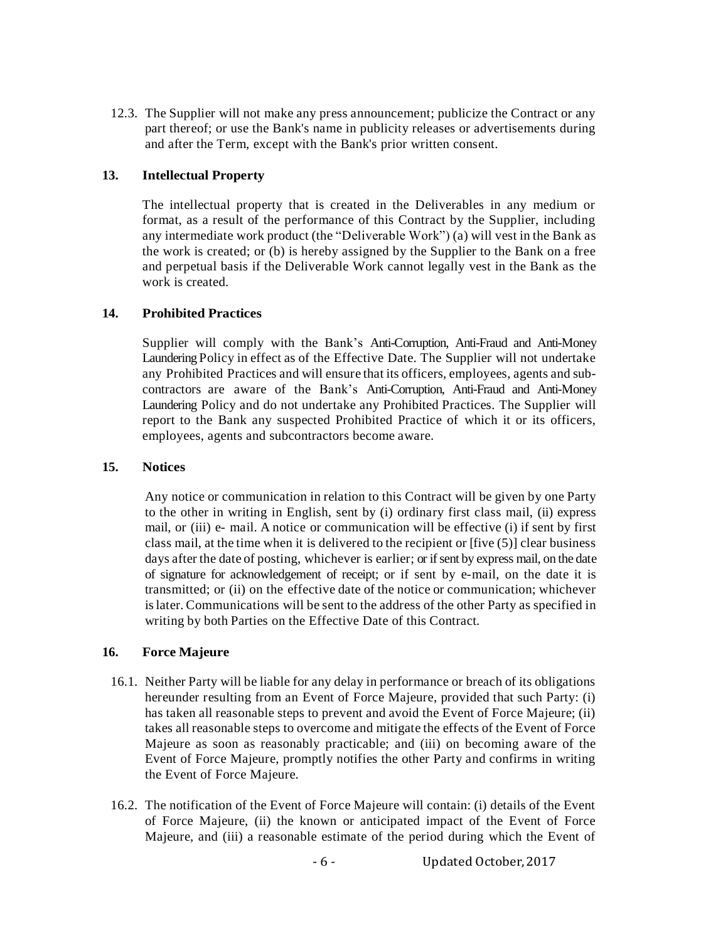12.3. The Supplier will not make any press announcement; publicize the Contract or any part thereof; or use the Bank's name in publicity releases or advertisements during and after the Term, except with the Bank's prior written consent.

## **13. Intellectual Property**

The intellectual property that is created in the Deliverables in any medium or format, as a result of the performance of this Contract by the Supplier, including any intermediate work product (the "Deliverable Work") (a) will vest in the Bank as the work is created; or (b) is hereby assigned by the Supplier to the Bank on a free and perpetual basis if the Deliverable Work cannot legally vest in the Bank as the work is created.

#### **14. Prohibited Practices**

Supplier will comply with the Bank's Anti-Corruption, Anti-Fraud and Anti-Money Laundering Policy in effect as of the Effective Date. The Supplier will not undertake any Prohibited Practices and will ensure that its officers, employees, agents and subcontractors are aware of the Bank's Anti-Corruption, Anti-Fraud and Anti-Money Laundering Policy and do not undertake any Prohibited Practices. The Supplier will report to the Bank any suspected Prohibited Practice of which it or its officers, employees, agents and subcontractors become aware.

#### **15. Notices**

Any notice or communication in relation to this Contract will be given by one Party to the other in writing in English, sent by (i) ordinary first class mail, (ii) express mail, or (iii) e- mail. A notice or communication will be effective (i) if sent by first class mail, at the time when it is delivered to the recipient or [five (5)] clear business days after the date of posting, whichever is earlier; or if sent by express mail, on the date of signature for acknowledgement of receipt; or if sent by e-mail, on the date it is transmitted; or (ii) on the effective date of the notice or communication; whichever islater. Communications will be sent to the address of the other Party as specified in writing by both Parties on the Effective Date of this Contract.

#### **16. Force Majeure**

- 16.1. Neither Party will be liable for any delay in performance or breach of its obligations hereunder resulting from an Event of Force Majeure, provided that such Party: (i) has taken all reasonable steps to prevent and avoid the Event of Force Majeure; (ii) takes all reasonable steps to overcome and mitigate the effects of the Event of Force Majeure as soon as reasonably practicable; and (iii) on becoming aware of the Event of Force Majeure, promptly notifies the other Party and confirms in writing the Event of Force Majeure.
- 16.2. The notification of the Event of Force Majeure will contain: (i) details of the Event of Force Majeure, (ii) the known or anticipated impact of the Event of Force Majeure, and (iii) a reasonable estimate of the period during which the Event of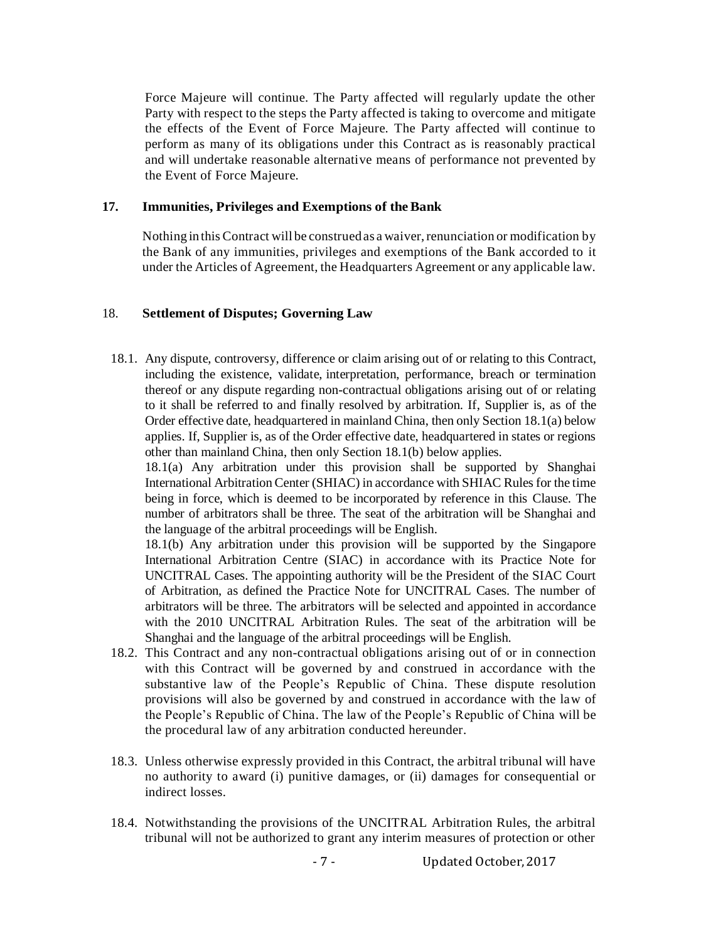Force Majeure will continue. The Party affected will regularly update the other Party with respect to the steps the Party affected is taking to overcome and mitigate the effects of the Event of Force Majeure. The Party affected will continue to perform as many of its obligations under this Contract as is reasonably practical and will undertake reasonable alternative means of performance not prevented by the Event of Force Majeure.

#### **17. Immunities, Privileges and Exemptions of theBank**

Nothing in this Contract will be construed as a waiver, renunciation or modification by the Bank of any immunities, privileges and exemptions of the Bank accorded to it under the Articles of Agreement, the Headquarters Agreement or any applicable law.

## 18. **Settlement of Disputes; Governing Law**

18.1. Any dispute, controversy, difference or claim arising out of or relating to this Contract, including the existence, validate, interpretation, performance, breach or termination thereof or any dispute regarding non-contractual obligations arising out of or relating to it shall be referred to and finally resolved by arbitration. If, Supplier is, as of the Order effective date, headquartered in mainland China, then only Section 18.1(a) below applies. If, Supplier is, as of the Order effective date, headquartered in states or regions other than mainland China, then only Section 18.1(b) below applies.

18.1(a) Any arbitration under this provision shall be supported by Shanghai International Arbitration Center (SHIAC) in accordance with SHIAC Rules for the time being in force, which is deemed to be incorporated by reference in this Clause. The number of arbitrators shall be three. The seat of the arbitration will be Shanghai and the language of the arbitral proceedings will be English.

18.1(b) Any arbitration under this provision will be supported by the Singapore International Arbitration Centre (SIAC) in accordance with its Practice Note for UNCITRAL Cases. The appointing authority will be the President of the SIAC Court of Arbitration, as defined the Practice Note for UNCITRAL Cases. The number of arbitrators will be three. The arbitrators will be selected and appointed in accordance with the 2010 UNCITRAL Arbitration Rules. The seat of the arbitration will be Shanghai and the language of the arbitral proceedings will be English.

- 18.2. This Contract and any non-contractual obligations arising out of or in connection with this Contract will be governed by and construed in accordance with the substantive law of the People's Republic of China. These dispute resolution provisions will also be governed by and construed in accordance with the law of the People's Republic of China. The law of the People's Republic of China will be the procedural law of any arbitration conducted hereunder.
- 18.3. Unless otherwise expressly provided in this Contract, the arbitral tribunal will have no authority to award (i) punitive damages, or (ii) damages for consequential or indirect losses.
- 18.4. Notwithstanding the provisions of the UNCITRAL Arbitration Rules, the arbitral tribunal will not be authorized to grant any interim measures of protection or other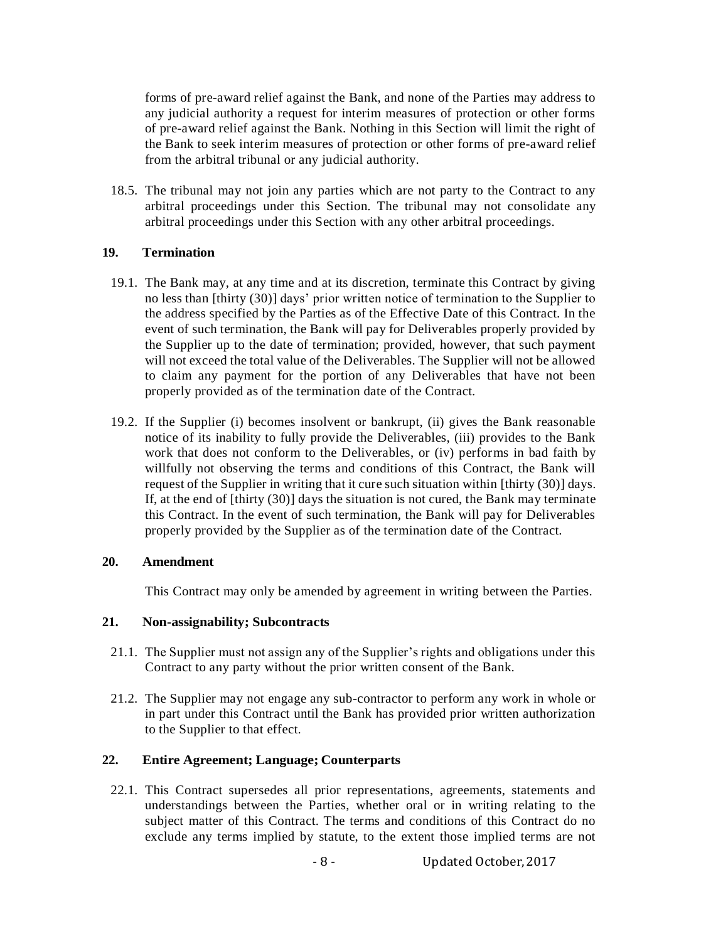forms of pre-award relief against the Bank, and none of the Parties may address to any judicial authority a request for interim measures of protection or other forms of pre-award relief against the Bank. Nothing in this Section will limit the right of the Bank to seek interim measures of protection or other forms of pre-award relief from the arbitral tribunal or any judicial authority.

18.5. The tribunal may not join any parties which are not party to the Contract to any arbitral proceedings under this Section. The tribunal may not consolidate any arbitral proceedings under this Section with any other arbitral proceedings.

## **19. Termination**

- 19.1. The Bank may, at any time and at its discretion, terminate this Contract by giving no less than [thirty (30)] days' prior written notice of termination to the Supplier to the address specified by the Parties as of the Effective Date of this Contract. In the event of such termination, the Bank will pay for Deliverables properly provided by the Supplier up to the date of termination; provided, however, that such payment will not exceed the total value of the Deliverables. The Supplier will not be allowed to claim any payment for the portion of any Deliverables that have not been properly provided as of the termination date of the Contract.
- 19.2. If the Supplier (i) becomes insolvent or bankrupt, (ii) gives the Bank reasonable notice of its inability to fully provide the Deliverables, (iii) provides to the Bank work that does not conform to the Deliverables, or (iv) performs in bad faith by willfully not observing the terms and conditions of this Contract, the Bank will request of the Supplier in writing that it cure such situation within [thirty (30)] days. If, at the end of [thirty (30)] days the situation is not cured, the Bank may terminate this Contract. In the event of such termination, the Bank will pay for Deliverables properly provided by the Supplier as of the termination date of the Contract.

## **20. Amendment**

This Contract may only be amended by agreement in writing between the Parties.

## **21. Non-assignability; Subcontracts**

- 21.1. The Supplier must not assign any of the Supplier's rights and obligations under this Contract to any party without the prior written consent of the Bank.
- 21.2. The Supplier may not engage any sub-contractor to perform any work in whole or in part under this Contract until the Bank has provided prior written authorization to the Supplier to that effect.

# **22. Entire Agreement; Language; Counterparts**

22.1. This Contract supersedes all prior representations, agreements, statements and understandings between the Parties, whether oral or in writing relating to the subject matter of this Contract. The terms and conditions of this Contract do no exclude any terms implied by statute, to the extent those implied terms are not